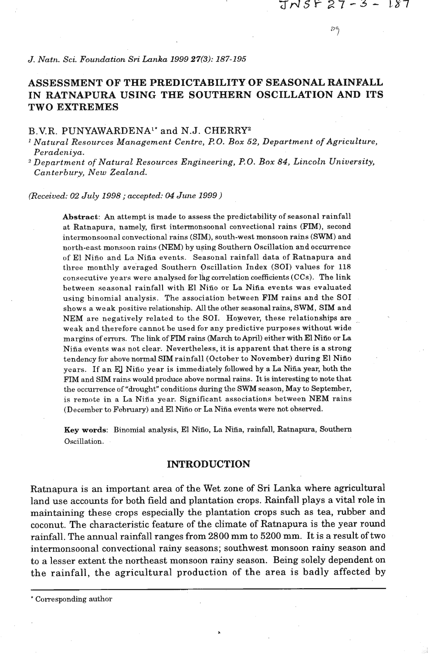### *J. Natn. Sci. Foundation* **Sri** *Lanka 1999* **27(3):** *187-195*

## **ASSESSMENT OF THE PREDICTABILITY OF SEASONAL RAINFALL IN RATNAPURA USING THE SOUTHERN OSCILLATION AND ITS TWO EXTREMES**

# B.V.R. PUNYAWARDENA1\* and N.J. CHERRY2

<sup>1</sup> Natural Resources Management Centre, P.O. Box 52, Department of Agriculture, *Peradeniya.* 

*Department of'Natural Resources Engineering,* **PO.** *Box 84, Lincoln University, Canterbury, New Zealnnd.* 

*(Received: 02 July 1998* ; *accepted:* **04** *June 1999)* 

Abstract: An attempt is made to assess the predictability of seasonal rainfall at Ratnapura, namely, first intermonsoonal convectional rains (FIM), second intermonsoonal convectional rains (SIM), south-west monsoon rains (SWM) and north-east monsoon rains (NEM) by using Southern Oscillation and occurrence of El Niño and La Niña events. Seasonal rainfall data of Ratnapura and three monthly averaged Southern Oscillation Index (SOI) values for 118 consecutive years were analysed for lag correlation coefficients (CCs). The link between seasonal rainfall with El Niño or La Niña events was evaluated using binomial analysis. The association between FIM rains and the SO1 shows a weak positive relationship. All the other seasonal rains, SWM, SIM and NEM are negatively related to the SOI. However, these relationships are \_ weak and therefore cannot be used for any predictive purposes without wide margins of errors. The link of FIM rains (March to April) either with El Niño or La Nifia events was not clear. Nevertheless, it is apparent that there is a strong tendency for above normal SIM rainfall (October to November) during El Nifio years. If an El Niño year is immediately followed by a La Niña year, both the **FIM** and SIM rains would produce above normal rains. It is interesting to note that the occurrence of "drought" conditions during the SWM season, May to September, is remote in a La Nifia year. Significant associations between NEM rains (December to February) and El Niño or La Niña events were not observed.

**Key words:** Binomial analysis, El Nifio, La Nifia, rainfall, Ratnapura, Southern Oscillation.

#### **INTRODUCTION**

Ratnapura is an important area of the Wet zone of **Sri** Lanka where agricultural land use accounts for both field and plantation crops. Rainfall plays a vital role in maintaining these crops especially the plantation crops such as tea, rubber and coconut. The characteristic feature of the climate of Ratnapura is the year round rainfall. The annual rainfall ranges from **2800** mm to **5200** mm. It **is** a result of two intermonsoonal convectional rainy seasons; southwest monsoon rainy season and to a lesser extent the northeast monsoon rainy season. Being solely dependent on the rainfall, the agricultural production of the area is badly affected by

<sup>\*</sup> Corresponding author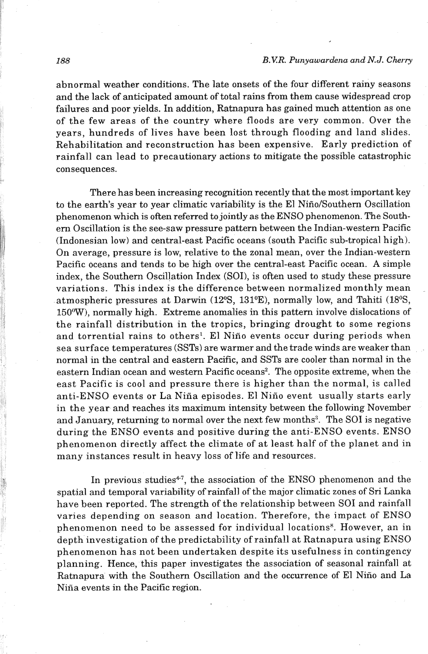abnormal weather conditions. The late onsets of the four different rainy seasons and the lack of anticipated amount of total rains from them cause widespread crop failures and poor yields. In addition, Ratnapura has gained **much** attention as one of the few areas of the country where floods are very common. Over the years, hundreds of lives have been lost through flooding and land slides. Rehabilitation and reconstruction has been expensive. Early prediction of rainfall can lead to precautionary actions to mitigate the possible catastrophic consequences.

There has been increasing recognition recently that the most important key to the earth's year to year climatic variability is the El Niño/Southern Oscillation phenomenon which is often referred to jointly as the ENSO phenomenon. The Southem Oscillation is the see-saw pressure pattern between the Indian-western Pacific (Indonesian low) and central-east Pacific oceans (south Pacific sub-tropical high). On average, pressure is low, relative to the zonal mean, over the Indian-western Pacific oceans and tends to be high over the central-east Pacific ocean. **A** simple index, the Southern Oscillation Index (SOI), is often used to study these pressure variations. This index is the difference between normalized monthly mean atmospheric pressures at Darwin  $(12\text{°S}, 131\text{°E})$ , normally low, and Tahiti  $(18\text{°S},$ **150°W),** normally high. Extreme anomalies in this pattern involve dislocations of the rainfall distribution in the tropics, bringing drought to some regions and torrential rains to others<sup>1</sup>. El Niño events occur during periods when sea surface temperatures (SSTs) are warmer and the trade winds are weaker than normal in the central and eastern Pacific, and SSTs are cooler than normal in the eastern Indian ocean and western Pacific oceans2. The opposite extreme, when the east Pacific is cool and pressure there is higher than the normal, is called anti-ENSO events or La Niña episodes. El Niño event usually starts early in the year and reaches its maximum intensity between the following November and January, returning to normal over the next few months<sup>3</sup>. The SOI is negative during the ENS0 events and positive during the anti-ENS0 events. ENS0 phenomenon directly affect the climate of at least half of the planet and in many instances result in heavy loss of life and resources.

In previous studies<sup>4-7</sup>, the association of the ENSO phenomenon and the spatial and temporal variability of rainfall of the major climatic zones of Sri Lanka have been reported. The strength of the relationship between SO1 and rainfall varies depending on season and location. Therefore, the impact of ENS0 phenomenon need to be assessed for individual locations<sup>8</sup>. However, an in depth investigation of the predictability of rainfall at Ratnapura using ENS0 phenomenon has not been undertaken despite its usefulness in contingency planning. Hence, this paper investigates the association of seasonal rainfall at Ratnapura with the Southern Oscillation and the occurrence of El Niño and La Niña events in the Pacific region.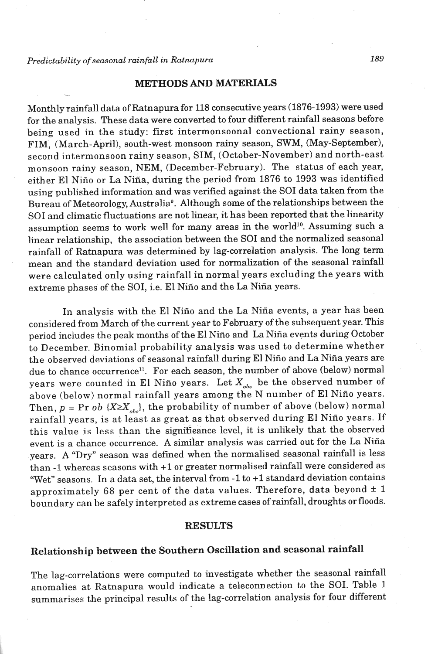### *Predictability of seasonal rainfall in Ratnapura* **189**

### METHODS AND MATERIALS

Monthly rainfall data of Ratnapura for 118 consecutive years (1876-1993) were used for the analysis. These data were converted to four different rainfall seasons before being used in the study: first intermonsoonal convectional rainy season, FIM, (March-April), south-west monsoon rainy season, SWM, (May-September), second intermonsoon rainy season, SIM, (October-November) and north-east monsoon rainy season, NEM, (December-February). The status of each year, either El Niño or La Niña, during the period from 1876 to 1993 was identified using published information and was verified against the SO1 data taken from the Bureau of Meteorology, Australia<sup>9</sup>. Although some of the relationships between the SO1 and climatic fluctuations are not linear, it has been reported that the linearity assumption seems to work well for many areas in the world<sup>10</sup>. Assuming such a linear relationship, the association between the **SO1** and the normalized seasonal rainfall of Ratnapura was determined by lag-correlation analysis. The long term mean and the standard deviation used for normalization of the seasonal rainfall were calculated only using rainfall in normal years excluding the years with extreme phases of the SOI, i.e. El Niño and the La Niña years.

In analysis with the El Niño and the La Niña events, a year has been considered from March of the current year to February of the subsequent year. This period includes the peak months of the El Niño and La Niña events during October to December. Binomial probability analysis was used to determine whether the observed deviations of seasonal rainfall during El Nifio and La Nifia years are due to chance occurrence<sup>11</sup>. For each season, the number of above (below) normal years were counted in El Niño years. Let  $X_{obs}$  be the observed number of above (below) normal rainfall years among the N number of El Nifio years. Then,  $p = Pr$  *ob*  $\{X \ge X_{obs}\}$ , the probability of number of above (below) normal rainfall years, is at least as great as that observed during El Niño years. If this value is less than the significance level, it is unlikely that the observed event is a chance occurrence. A similar analysis was carried out for the La Niña years. A "Dry" season was defined when the normalised seasonal rainfall is less than -1 whereas seasons with +1 or greater normalised rainfall were considered as "Wet" seasons. In a data set, the interval from -1 to **+1** standard deviation contains approximately 68 per cent of the data values. Therefore, data beyond  $\pm$  1 boundary can be safely interpreted as extreme cases of rainfall, droughts or floods.

### RESULTS

# Relationship between the Southern Oscillation and seasonal rainfall

The lag-correlations were computed to investigate whether the seasonal rainfall anomalies at Ratnapura would indicate a teleconnection to the SOI. Table 1 summarises the principal results of the lag-correlation analysis for four different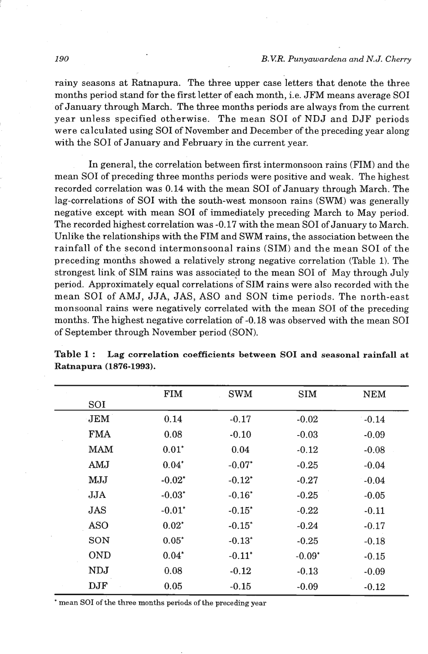rainy seasons at Ratnapura. The three upper case letters that denote the three months period stand for the first letter of each month, i.e. JFM means average SO1 of January through March. The three months periods are always from the current year unless specified otherwise. The mean SO1 of NDJ and DJF periods were calculated using SO1 of November and December of the preceding year along with the SO1 of January and February in the current year.

In general, the correlation between first intermonsoon rains (FIM) and the mean SO1 of preceding three months periods were positive and weak. The highest recorded correlation was **0.14** with the mean SO1 of January through March. The lag-correlations of SO1 with the south-west monsoon rains (SWM) was generally negative except with mean SO1 of immediately preceding March to May period. The recorded highest correlation was **-0.17** with the mean SO1 of January to March. Unlike the relationships with the FIM and SWM rains, the association between the rainfall of the second intermonsoonal rains (SIM) and the mean SO1 of the preceding months showed a relatively strong negative correlation (Table **1).** The strongest link of SIM rains was associated to the mean SO1 of May through July period. Approximately equal correlations of SIM rains were also recorded with the mean SO1 of AMJ, JJA, JAS, AS0 and SON time periods. The north-east monsoonal rains were negatively correlated with the mean SO1 of the preceding months. The highest negative correlation of **-0.18** was observed with the mean SO1 of September through November period (SON).

|            | <b>FIM</b> | <b>SWM</b> | <b>SIM</b> | <b>NEM</b> |
|------------|------------|------------|------------|------------|
| SOI        |            |            |            |            |
| JEM        | 0.14       | $-0.17$    | $-0.02$    | $-0.14$    |
| <b>FMA</b> | 0.08       | $-0.10$    | $-0.03$    | $-0.09$    |
| <b>MAM</b> | $0.01*$    | 0.04       | $-0.12$    | $-0.08$    |
| AMJ        | $0.04*$    | $-0.07*$   | $-0.25$    | $-0.04$    |
| MJJ        | $-0.02*$   | $-0.12*$   | $-0.27$    | $-0.04$    |
| JJA        | $-0.03*$   | $-0.16*$   | $-0.25$    | $-0.05$    |
| JAS        | $-0.01*$   | $-0.15^*$  | $-0.22$    | $-0.11$    |
| <b>ASO</b> | $0.02*$    | $-0.15^*$  | $-0.24$    | $-0.17$    |
| SON        | $0.05*$    | $-0.13*$   | $-0.25$    | $-0.18$    |
| <b>OND</b> | $0.04*$    | $-0.11*$   | $-0.09*$   | $-0.15$    |
| <b>NDJ</b> | 0.08       | $-0.12$    | $-0.13$    | $-0.09$    |
| DJF        | 0.05       | $-0.15$    | $-0.09$    | $-0.12$    |

**Table 1** : **Lag correlation coefficients between SO1 and seasonal rainfall at Ratnapura (1876-1993).** 

\* mean SOI of the three months periods of the preceding year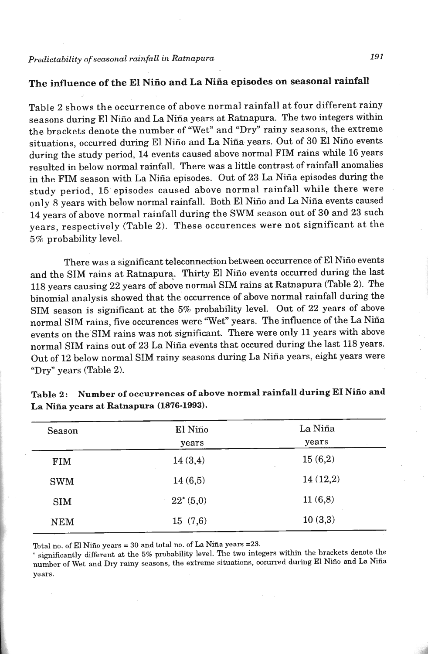# The influence of the El Niño and La Niña episodes on seasonal rainfall

Table 2 shows the occurrence of above normal rainfall at four different rainy seasons during El Niño and La Niña years at Ratnapura. The two integers within the brackets denote the number of "Wet" and "Dry" rainy seasons, the extreme situations, occurred during El Niño and La Niña years. Out of 30 El Niño events during the study period, 14 events caused above normal FIM rains while 16 years resulted in below normal rainfall. mere was a little contrast of rainfall anomalies in the FIM season with La Nifia episodes. Out of 23 La Nifia episodes during the study period, 15 episodes caused above normal rainfall while there were only 8 years with below normal rainfall. Both El Niño and La Niña events caused 14 years of above normal rainfall during the SWM season out of 30 and 23 such years, respectively (Table 2). These occurences were not significant at the **5%** probability level.

There was a significant teleconnection between occurrence of El Niño events and the SIM rains at Ratnapura. Thirty El Niño events occurred during the last 118 years causing 22 years of above normal SIM rains at Ratnapura (Table 2). The binomial analysis showed that the occurrence of above normal rainfall during the SIM season is significant at the **5%** probability level. Out of 22 years of above normal SIM rains, five occurences were "Wet" years. The influence of the La Niña events on the SIM rains was not significant. There were only 11 years with above normal SIM rains out of 23 La Nifia events that occured during the last 118 years. **Out** of 12 below normal SIM rainy seasons during La Nifia years, eight years were "Dry" years (Table 2).

| Season     | El Niño           | La Niña  |  |
|------------|-------------------|----------|--|
|            | years             | years    |  |
| <b>FIM</b> | 14(3,4)<br>$\sim$ | 15(6,2)  |  |
| <b>SWM</b> | 14(6,5)           | 14(12,2) |  |
| <b>SIM</b> | $22^*(5,0)$       | 11(6,8)  |  |
| <b>NEM</b> | 15(7,6)           | 10(3,3)  |  |

Table 2: Number of occurrences of above normal rainfall during EI Niño and La Niña years at Ratnapura (1876-1993).

Total no. of El Niño years = 30 and total no. of La Niña years = 23.

' significantly different at the 5% probability level. The two integers within the brackets denote the number of Wet and Dry rainy seasons, the extreme situations, occurred during El Niño and La Niña years.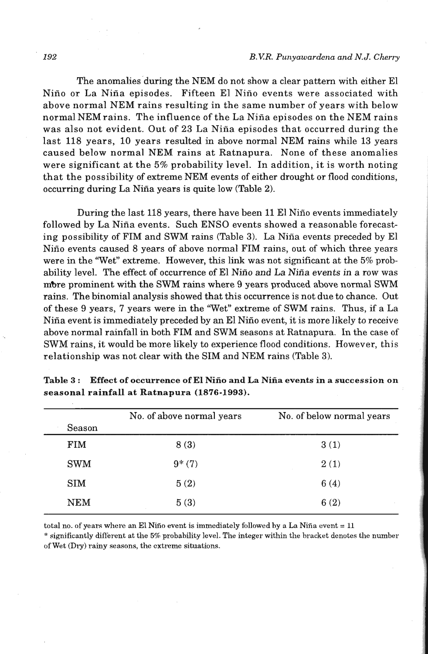#### **192** *B.V.R. Punyawardena and N.J. Cherry*

The anomalies during the NEM do not show a clear pattern with either El Niño or La Niña episodes. Fifteen El Niño events were associated with above normal NEM rains resulting in the same number of years with below normal NEM rains. The influence of the La Niña episodes on the NEM rains was also not evident. Out of 23 La Niña episodes that occurred during the last 118 years, 10 years resulted in above normal NEM rains while 13 years caused below normal NEM rains at Ratnapura. None of these anomalies were significant at the **5%** probability level. In addition, it is worth noting that the possibility of extreme NEM events of either drought or flood conditions, occurring during La Niña years is quite low (Table 2).

During the last 118 years, there have been 11 El Nifio events immediately followed by La Nifia events. Such ENS0 events showed a reasonable forecasting possibility of FIM and SWM rains (Table 3). La Niña events preceded by El Niño events caused 8 years of above normal FIM rains, out of which three years were in the 'Wet" extreme. However, this link was not significant at the 5% probability level. The effect of occurrence of El Niño and La Niña events in a row was mbre prominent with the SWM rains where 9 years produced above normal SWM rains. The binomial analysis showed that this occurrence is not due to chance. Out of these 9 years, 7 years were in the 'Wet" extreme of SWM rains. Thus, if a La Niña event is immediately preceded by an El Niño event, it is more likely to receive above normal rainfall in both FIM and SWM seasons at Ratnapura. In the case of SWM rains, it would be more likely to experience flood conditions. However, this relationship was not clear with the SIM and NEM rains (Table 3).

| Season     | No. of above normal years | No. of below normal years |
|------------|---------------------------|---------------------------|
| <b>FIM</b> | 8(3)                      | 3(1)                      |
| <b>SWM</b> | $9*(7)$                   | 2(1)                      |
| <b>SIM</b> | 5(2)                      | 6(4)                      |
| <b>NEM</b> | 5(3)                      | 6(2)                      |

**Table 3** : **Effect of occurrence of El Nifio and La Nifia events in a succession on seasonal rainfall at Ratnapura (1876-1993).** 

total no. of years where an El Nifio event is immediately followed by a La Nifia event = **11**  :' significantly direrent at the **54** probahility level. The integer within the bracket denotes the number of Wet (Dry) rainy seasons, the extreme situations.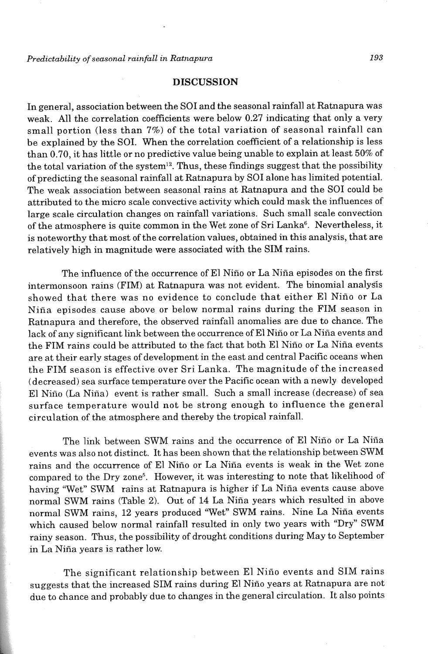### **DISCUSSION**

In general, association between the SO1 and the seasonal rainfall at Ratnapura was weak. All the correlation coefficients were below 0.27 indicating that only a very small portion (less than 7%) of the total variation of seasonal rainfall can be explained by the SOI. When the correlation coefficient of a relationship is less than 0.70, it has little or no predictive value being unable to explain at least 50% of the total variation of the system<sup>12</sup>. Thus, these findings suggest that the possibility of predicting the seasonal rainfall at Ratnapura by SO1 alone has limited potential. The weak association between seasonal rains at Ratnapura and the SO1 could be attributed to the micro scale convective activity which could mask the influences of large scale circulation changes on rainfall variations. Such small scale convection of the atmosphere is quite common in the Wet zone of Sri Lanka<sup>6</sup>. Nevertheless, it is noteworthy that most of the correlation values, obtained in this analysis, that are relatively high in magnitude were associated **with** the SIM rains.

The influence of the occurrence of El Niño or La Niña episodes on the first interrnonsoon rains (FIM) at Ratnapura was not evident. The binomial analysis showed that there was no evidence to conclude that either El Nino or La Niña episodes cause above or below normal rains during the FIM season in Ratnapura and therefore, the observed rainfall anomalies are due to chance. The lack of any significant link between the occurrence of El Niño or La Niña events and the FIM rains could be attributed to the fact that both El Niño or La Niña events are at their early stages of development in the east and central Pacific oceans when the FIM season is effective over Sri Lanka. The magnitude of the increased (decreased) sea surface temperature over the Pacific ocean with a newly developed El Nifio (La Nifia) event is rather small. Such a small increase (decrease) of sea surface temperature would not be strong enough to influence the general circulation of the atmosphere and thereby the tropical rainfall.

The link between SWM rains and the occurrence of El Niño or La Niña events was also not distinct. It has been shown that the relationship between SWM rains and the occurrence of El Niño or La Niña events is weak in the Wet zone compared to the Dry zone". However, it was interesting to note that likelihood of having "Wet" SWM rains at Ratnapura is higher if La Niña events cause above normal SWM rains (Table 2). Out of 14 La Niña years which resulted in above normal SWM rains, 12 years produced 'Wet" SWM rains. Nine La Nina events which caused below normal rainfall resulted in only two years with "Dry" SWM rainy season. Thus, the possibility of drought conditions during May to September in La Niña years is rather low.

The significant relationship between El Niño events and SIM rains suggests that the increased SIM rains during El Niño years at Ratnapura are not due to chance and probably due to changes in the general circulation. It also points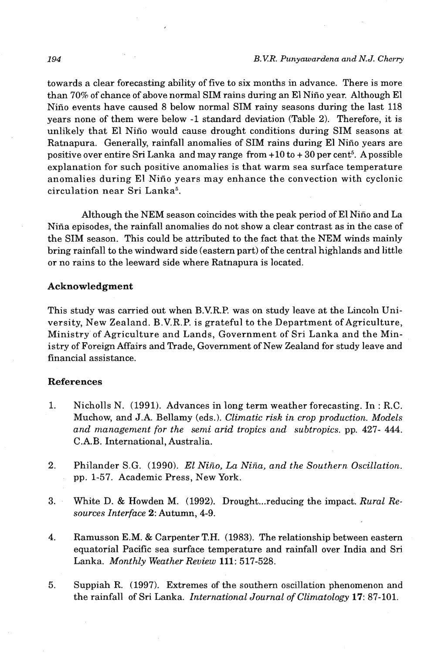towards a clear forecasting ability of five to six months in advance. There is more than **70%** of chance of above normal SIM rains during an El Nifio year. Although El Nifio events have caused 8 below normal SIM rainy seasons during the last 118 years none of them were below -1 standard deviation (Table 2). Therefore, it is unlikely that El Nifio would cause drought conditions during SIM seasons at Ratnapura. Generally, rainfall anomalies of SIM rains during El Niño years are positive over entire Sri Lanka and may range from **+10** to + **30** per cent5. Apossible explanation for such positive anomalies is that warm sea surface temperature anomalies during El Nifio years may enhance the convection with cyclonic circulation near Sri Lanka5.

Although the NEM season coincides with the peak period of El Niño and La Nifia episodes, the rainfall anomalies do not show a clear contrast as in the case of the SIM season. This could be attributed to the fact that the NEM winds mainly bring rainfall to the windward side (eastern part) of the central highlands and little or no rains to the leeward side where Ratnapura is located.

### **Acknowledgment**

This study was carried out when B.V.R.P. was on study leave at the Lincoln University, New Zealand. B.V.R.P. is grateful to the Department of Agriculture, Ministry of Agriculture and Lands, Government of Sri Lanka and the Ministry of Foreign Affairs and Trade, Government of New Zealand for study leave and financial assistance.

### **References**

- 1. Nicholls N. **(1991).** Advances in long term weather forecasting. In : R.C. Muchow, and J.A. Bellamy (eds.). *Climatic risk in crop production. Models*  and management for the semi arid tropics and subtropics. pp. 427-444. C.A.B. International, Australia.
- $2.$ Philander S.G. **(1990).** El *Niiio,* **La** *Niiia, and the Southern. Oscillation.*  pp. **1-57.** Academic Press, New York.
- 3. White D. & Howden M. **(1992).** Drought ... reducing the impact. *Rural Resources Interface 2:* Autumn, **4-9.**
- $\overline{4}$ . Ramusson E.M. & Carpenter T.H. **(1983).** The relationship between eastern equatorial Pacific sea surface temperature and rainfall over India and Sri Lanka. *Monthly Weather Review* **111: 517-528.**
- **5.** Suppiah **R. (1997).** Extremes of the southern oscillation phenomenon and the rainfall of Sri Lanka. *International Journal of Climatology* **17: 87-101.**